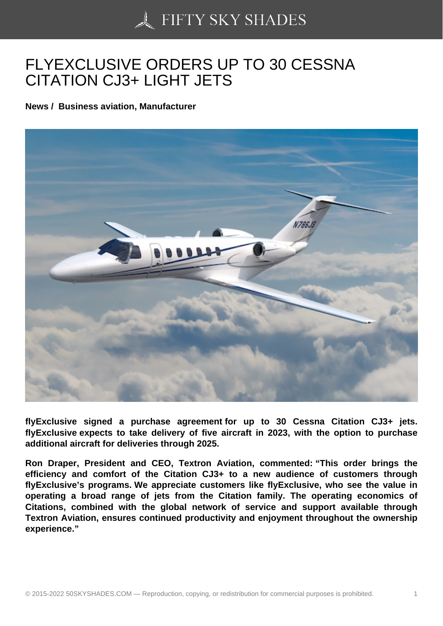## [FLYEXCLUSIVE ORDE](https://50skyshades.com)RS UP TO 30 CESSNA CITATION CJ3+ LIGHT JETS

News / Business aviation, Manufacturer

flyExclusive signed a purchase agreement for up to 30 Cessna Citation CJ3+ jets. flyExclusive expects to take delivery of five aircraft in 2023, with the option to purchase additional aircraft for deliveries through 2025.

Ron Draper, President and CEO, Textron Aviation, commented: "This order brings the efficiency and comfort of the Citation CJ3+ to a new audience of customers through flyExclusive's programs. We appreciate customers like flyExclusive, who see the value in operating a broad range of jets from the Citation family. The operating economics of Citations, combined with the global network of service and support available through Textron Aviation, ensures continued productivity and enjoyment throughout the ownership experience."